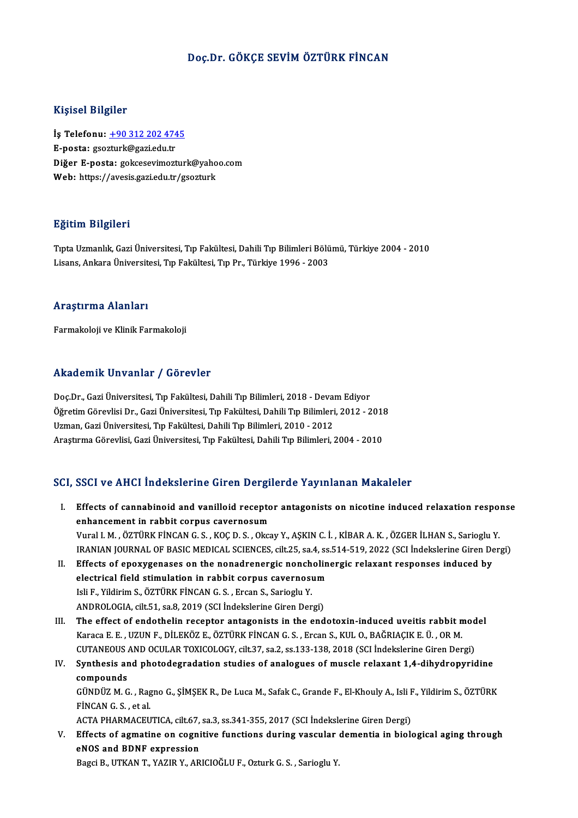### Doç.Dr. GÖKÇE SEVİMÖZTÜRK FİNCAN

#### Kişisel Bilgiler

Kişisel Bilgiler<br>İş Telefonu: <u>+90 312 202 4745</u><br>E nosta*y sessturk@sasi* edu.tr miyisər Brighter<br>İş Telefonu: <u>+90 312 202 474</u><br>E-posta: gso[zturk@gazi.edu.tr](tel:+90 312 202 4745)<br>Dižor E nosta: gelseseyimest İş Telefonu: <u>+90 312 202 4745</u><br>E-posta: gsozturk@gazi.edu.tr<br>Diğer E-posta: gokcesevimozturk@yahoo.com<br>Web: https://avesis.gazi.edu.tr/gsozturk E-posta: gsozturk@gazi.edu.tr<br>Diğer E-posta: gokcesevimozturk@yaho<br>Web: https://avesis.gazi.edu.tr/gsozturk

#### Eğitim Bilgileri

**Eğitim Bilgileri**<br>Tıpta Uzmanlık, Gazi Üniversitesi, Tıp Fakültesi, Dahili Tıp Bilimleri Bölümü, Türkiye 2004 - 2010<br>Lisans, Ankara Üniversitesi, Tıp Fakültesi, Tıp Pr., Türkiye 1996, 2002 Lisaans, Langrich<br>Tıpta Uzmanlık, Gazi Üniversitesi, Tıp Fakültesi, Dahili Tıp Bilimleri Bölü<br>Lisans, Ankara Üniversitesi, Tıp Fakültesi, Tıp Pr., Türkiye 1996 - 2003 Lisans, Ankara Üniversitesi, Tıp Fakültesi, Tıp Pr., Türkiye 1996 - 2003<br>Araştırma Alanları

Farmakoloji ve Klinik Farmakoloji

### Akademik Unvanlar / Görevler

Akademik Unvanlar / Görevler<br>Doç.Dr., Gazi Üniversitesi, Tıp Fakültesi, Dahili Tıp Bilimleri, 2018 - Devam Ediyor<br>Öğretim Cörevlisi Dr. Gazi Üniversitesi Tıp Fakültesi, Dahili Tıp Bilimleri, 2012, 2 İskandonin Sirvaniar 7 dözüster<br>Doç.Dr., Gazi Üniversitesi, Tıp Fakültesi, Dahili Tıp Bilimleri, 2018 - Devam Ediyor<br>Öğretim Görevlisi Dr., Gazi Üniversitesi, Tıp Fakültesi, Dahili Tıp Bilimleri, 2012 - 2018<br>Uzman, Gazi Ün Doç.Dr., Gazi Üniversitesi, Tıp Fakültesi, Dahili Tıp Bilimleri, 2018 - Devan<br>Öğretim Görevlisi Dr., Gazi Üniversitesi, Tıp Fakültesi, Dahili Tıp Bilimleri<br>Uzman, Gazi Üniversitesi, Tıp Fakültesi, Dahili Tıp Bilimleri, 201 Öğretim Görevlisi Dr., Gazi Üniversitesi, Tıp Fakültesi, Dahili Tıp Bilimleri, 2012 - 2018<br>Uzman, Gazi Üniversitesi, Tıp Fakültesi, Dahili Tıp Bilimleri, 2010 - 2012<br>Araştırma Görevlisi, Gazi Üniversitesi, Tıp Fakültesi, D

### SCI, SSCI ve AHCI İndekslerine Giren Dergilerde Yayınlanan Makaleler

- CI, SSCI ve AHCI Indekslerine Giren Dergilerde Yayınlanan Makaleler<br>I. Effects of cannabinoid and vanilloid receptor antagonists on nicotine induced relaxation response<br>Anhancement in rebbit cannus sevennesum end is the machinering and being<br>Effects of cannabinoid and vanilloid recepto<br>Enhancement in rabbit corpus cavernosum<br>Vanal LM (ÖZTÜRK EİNCAN C.S., KOCD, S., Oka enhancement in rabbit corpus cavernosum<br>Vural I. M. , ÖZTÜRK FİNCAN G. S. , KOÇ D. S. , Okcay Y., AŞKIN C. İ. , KİBAR A. K. , ÖZGER İLHAN S., Sarioglu Y. enhancement in rabbit corpus cavernosum<br>Vural I. M. , ÖZTÜRK FİNCAN G. S. , KOÇ D. S. , Okcay Y., AŞKIN C. İ. , KİBAR A. K. , ÖZGER İLHAN S., Sarioglu Y<br>IRANIAN JOURNAL OF BASIC MEDICAL SCIENCES, cilt.25, sa.4, ss.514-519, Vural I. M., ÖZTÜRK FİNCAN G. S., KOÇ D. S., Okcay Y., AŞKIN C. İ., KİBAR A. K., ÖZGER İLHAN S., Sarioglu '<br>IRANIAN JOURNAL OF BASIC MEDICAL SCIENCES, cilt.25, sa.4, ss.514-519, 2022 (SCI İndekslerine Giren De<br>II. Effects
- IRANIAN JOURNAL OF BASIC MEDICAL SCIENCES, cilt.25, sa.4, ss<br>Effects of epoxygenases on the nonadrenergic noncholin<br>electrical field stimulation in rabbit corpus cavernosum<br>Iak E. Vildinim S. ÖZTÜDK EİNCAN C. S. Exean S. S Effects of epoxygenases on the nonadrenergic nonch<br>electrical field stimulation in rabbit corpus cavernosi<br>Isli F., Yildirim S., ÖZTÜRK FİNCAN G. S., Ercan S., Sarioglu Y.<br>ANDROLOCIA, cilt 51, sa 8, 2019 (SCL İndekslerine electrical field stimulation in rabbit corpus cavernosum<br>Isli F., Yildirim S., ÖZTÜRK FİNCAN G. S. , Ercan S., Sarioglu Y.<br>ANDROLOGIA, cilt.51, sa.8, 2019 (SCI İndekslerine Giren Dergi)<br>The effect of endethelin resenter an Isli F., Yildirim S., ÖZTÜRK FİNCAN G. S. , Ercan S., Sarioglu Y.<br>ANDROLOGIA, cilt.51, sa.8, 2019 (SCI İndekslerine Giren Dergi)<br>III. The effect of endothelin receptor antagonists in the endotoxin-induced uveitis rabbit mo
- ANDROLOGIA, cilt.51, sa.8, 2019 (SCI İndekslerine Giren Dergi)<br>The effect of endothelin receptor antagonists in the endotoxin-induced uveitis rabbit n<br>Karaca E. E. , UZUN F., DİLEKÖZ E., ÖZTÜRK FİNCAN G. S. , Ercan S., KUL The effect of endothelin receptor antagonists in the endotoxin-induced uveitis rabbit mod<br>Karaca E. E. , UZUN F., DİLEKÖZ E., ÖZTÜRK FİNCAN G. S. , Ercan S., KUL O., BAĞRIAÇIK E. Ü. , OR M.<br>CUTANEOUS AND OCULAR TOXICOLOGY, Karaca E. E. , UZUN F., DİLEKÖZ E., ÖZTÜRK FİNCAN G. S. , Ercan S., KUL O., BAĞRIAÇIK E. Ü. , OR M.<br>CUTANEOUS AND OCULAR TOXICOLOGY, cilt.37, sa.2, ss.133-138, 2018 (SCI İndekslerine Giren Dergi)<br>IV. Synthesis and photodeg
- CUTANEOUS<br>Synthesis ar<br>compounds<br>CÜNDÜZ M.C Synthesis and photodegradation studies of analogues of muscle relaxant 1,4-dihydropyridine<br>compounds<br>GÜNDÜZ M. G. , Ragno G., ŞİMŞEK R., De Luca M., Safak C., Grande F., El-Khouly A., Isli F., Yildirim S., ÖZTÜRK<br>EİNCAN C. compounds<br>GÜNDÜZ M. G. , Ragno G., ŞİMŞEK R., De Luca M., Safak C., Grande F., El-Khouly A., Isli F., Yildirim S., ÖZTÜRK<br>FİNCAN G. S. , et al. GÜNDÜZ M. G. , Ragno G., ŞİMŞEK R., De Luca M., Safak C., Grande F., El-Khouly A., Isli F<br>FİNCAN G. S. , et al.<br>ACTA PHARMACEUTICA, cilt.67, sa.3, ss.341-355, 2017 (SCI İndekslerine Giren Dergi)<br>Fffecta of asmatina an sasm

FINCAN G. S. , et al.<br>ACTA PHARMACEUTICA, cilt.67, sa.3, ss.341-355, 2017 (SCI Indekslerine Giren Dergi)<br>V. Effects of agmatine on cognitive functions during vascular dementia in biological aging through<br>ANOS and PDNE avpr ACTA PHARMACEUTICA, cilt.67,<br>Effects of agmatine on cognie<br>NOS and BDNF expression<br>Poggi B, UTVAN T, VAZIB V, AB Effects of agmatine on cognitive functions during vascular<br>eNOS and BDNF expression<br>Bagci B., UTKAN T., YAZIR Y., ARICIOĞLU F., Ozturk G. S. , Sarioglu Y.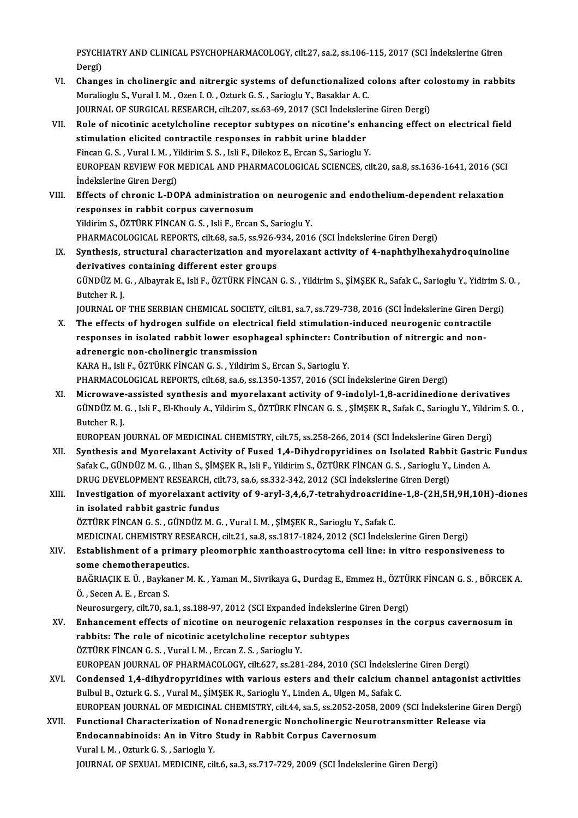PSYCHIATRY AND CLINICAL PSYCHOPHARMACOLOGY, cilt.27, sa.2, ss.106-115, 2017 (SCI İndekslerine Giren<br>Persi) PSYCHI<br>Dergi)<br>Chang PSYCHIATRY AND CLINICAL PSYCHOPHARMACOLOGY, cilt.27, sa.2, ss.106-115, 2017 (SCI Indekslerine Giren<br>Dergi)<br>VI. Changes in cholinergic and nitrergic systems of defunctionalized colons after colostomy in rabbits<br>Maroliagly S

- Dergi)<br>VI. Changes in cholinergic and nitrergic systems of defunctionalized colons after colostomy in rabbits<br>Moralioglu S., Vural I. M. , Ozen I. O. , Ozturk G. S. , Sarioglu Y., Basaklar A. C. JOURNAL OF SURGICAL RESEARCH, cilt.207, ss.63-69, 2017 (SCI İndekslerine Giren Dergi) Moralioglu S., Vural I. M. , Ozen I. O. , Ozturk G. S. , Sarioglu Y., Basaklar A. C.<br>JOURNAL OF SURGICAL RESEARCH, cilt.207, ss.63-69, 2017 (SCI İndekslerine Giren Dergi)<br>VII. Role of nicotinic acetylcholine receptor subty
- stimulation elicited contractile responses in rabbit urine bladder<br>Fincan G. S., Vural I. M., Yildirim S. S., Isli F., Dilekoz E., Ercan S., Sarioglu Y. Role of nicotinic acetylcholine receptor subtypes on nicotine's enh<br>stimulation elicited contractile responses in rabbit urine bladder<br>Fincan G. S. , Vural I. M. , Yildirim S. S. , Isli F., Dilekoz E., Ercan S., Sarioglu Y stimulation elicited contractile responses in rabbit urine bladder<br>Fincan G. S. , Vural I. M. , Yildirim S. S. , Isli F., Dilekoz E., Ercan S., Sarioglu Y.<br>EUROPEAN REVIEW FOR MEDICAL AND PHARMACOLOGICAL SCIENCES, cilt.20, Fincan G. S. , Vural I. M. , Y.<br>EUROPEAN REVIEW FOR I<br>İndekslerine Giren Dergi)<br>Effects of shronis I. DO EUROPEAN REVIEW FOR MEDICAL AND PHARMACOLOGICAL SCIENCES, cilt.20, sa.8, ss.1636-1641, 2016 (SCI<br>Indekslerine Giren Dergi)<br>VIII. Effects of chronic L-DOPA administration on neurogenic and endothelium-dependent relaxation<br>R
- Indekslerine Giren Dergi)<br>Effects of chronic L-DOPA administration<br>responses in rabbit corpus cavernosum<br>Vidinim S. ÖZTÜRK FİNCAN C.S., Joli E. Excen Effects of chronic L-DOPA administration on neuroge<br>responses in rabbit corpus cavernosum<br>Yildirim S., ÖZTÜRK FİNCAN G.S., Isli F., Ercan S., Sarioglu Y.<br>PHAPMACOLOCICAL PEPOPTS silt 69 sp.5 ss.936 934 3014 responses in rabbit corpus cavernosum<br>Yildirim S., ÖZTÜRK FİNCAN G. S. , Isli F., Ercan S., Sarioglu Y.<br>PHARMACOLOGICAL REPORTS, cilt.68, sa.5, ss.926-934, 2016 (SCI İndekslerine Giren Dergi)<br>Synthosis, strustural sharaste Yildirim S., ÖZTÜRK FİNCAN G. S. , Isli F., Ercan S., Sarioglu Y.<br>PHARMACOLOGICAL REPORTS, cilt.68, sa.5, ss.926-934, 2016 (SCI İndekslerine Giren Dergi)<br>IX. Synthesis, structural characterization and myorelaxant activity PHARMACOLOGICAL REPORTS, cilt.68, sa.5, ss.926-9<br>Synthesis, structural characterization and my<br>derivatives containing different ester groups<br>C<sup>(INDI7</sup> M.C., Albarrak E. Joli E. ÖZTÜDK FİNCAN Synthesis, structural characterization and myorelaxant activity of 4-naphthylhexahydroquinoline<br>derivatives containing different ester groups<br>GÜNDÜZ M. G. , Albayrak E., Isli F., ÖZTÜRK FİNCAN G. S. , Yildirim S., ŞİMŞEK R

der<mark>ivatives</mark><br>GÜNDÜZ M.<br>Butcher R. J.<br>JOUPNAJ OF GÜNDÜZ M. G. , Albayrak E., Isli F., ÖZTÜRK FİNCAN G. S. , Yildirim S., ŞİMŞEK R., Safak C., Sarioglu Y., Yidirim S.<br>Butcher R. J.<br>JOURNAL OF THE SERBIAN CHEMICAL SOCIETY, cilt.81, sa.7, ss.729-738, 2016 (SCI İndekslerine

Butcher R. J.<br>JOURNAL OF THE SERBIAN CHEMICAL SOCIETY, cilt.81, sa.7, ss.729-738, 2016 (SCI Indekslerine Giren Der<br>X. The effects of hydrogen sulfide on electrical field stimulation-induced neurogenic contractile<br>Represent JOURNAL OF THE SERBIAN CHEMICAL SOCIETY, cilt.81, sa.7, ss.729-738, 2016 (SCI Indekslerine Giren Dergi)<br>The effects of hydrogen sulfide on electrical field stimulation-induced neurogenic contractile<br>responses in isolated r The effects of hydrogen sulfide on electri<br>responses in isolated rabbit lower esoph:<br>adrenergic non-cholinergic transmission<br>KARA H. Joli E. ÖZTÜRK FİNCAN C.S. Vildirim KARA H., Isli F., ÖZTÜRK FİNCAN G. S., Yildirim S., Ercan S., Sarioglu Y.

PHARMACOLOGICAL REPORTS, cilt.68, sa.6, ss.1350-1357, 2016 (SCI İndekslerine Giren Dergi)

KARA H., Isli F., ÖZTÜRK FİNCAN G. S. , Yildirim S., Ercan S., Sarioglu Y.<br>PHARMACOLOGICAL REPORTS, cilt.68, sa.6, ss.1350-1357, 2016 (SCI İndekslerine Giren Dergi)<br>XI. Microwave-assisted synthesis and myorelaxant activity PHARMACOLOGICAL REPORTS, cilt.68, sa.6, ss.1350-1357, 2016 (SCI İndekslerine Giren Dergi)<br>Microwave-assisted synthesis and myorelaxant activity of 9-indolyl-1,8-acridinedione derivatives<br>GÜNDÜZ M. G. , Isli F., El-Khouly A Mi<mark>crowave</mark><br>GÜNDÜZ M.<br>Butcher R. J.<br>EUROPEAN I GÜNDÜZ M. G. , Isli F., El-Khouly A., Yildirim S., ÖZTÜRK FİNCAN G. S. , ŞİMŞEK R., Safak C., Sarioglu Y., Yildrim S. O. ,<br>Butcher R. J.<br>EUROPEAN JOURNAL OF MEDICINAL CHEMISTRY, cilt.75, ss.258-266, 2014 (SCI İndekslerine

Butcher R. J.<br>EUROPEAN JOURNAL OF MEDICINAL CHEMISTRY, cilt.75, ss.258-266, 2014 (SCI İndekslerine Giren Dergi)<br>XII. Synthesis and Myorelaxant Activity of Fused 1,4-Dihydropyridines on Isolated Rabbit Gastric Fundus<br>Sefek EUROPEAN JOURNAL OF MEDICINAL CHEMISTRY, cilt.75, ss.258-266, 2014 (SCI İndekslerine Giren Dergi)<br>Synthesis and Myorelaxant Activity of Fused 1,4-Dihydropyridines on Isolated Rabbit Gastric<br>Safak C., GÜNDÜZ M. G. , Ilhan S Synthesis and Myorelaxant Activity of Fused 1,4-Dihydropyridines on Isolated Rabb:<br>Safak C., GÜNDÜZ M. G. , Ilhan S., ŞİMŞEK R., Isli F., Yildirim S., ÖZTÜRK FİNCAN G. S. , Sarioglu Y.,<br>DRUG DEVELOPMENT RESEARCH, cilt.73, Safak C., GÜNDÜZ M. G. , Ilhan S., ŞİMŞEK R., Isli F., Yildirim S., ÖZTÜRK FİNCAN G. S. , Sarioglu Y., Linden A.<br>DRUG DEVELOPMENT RESEARCH, cilt.73, sa.6, ss.332-342, 2012 (SCI İndekslerine Giren Dergi)<br>XIII. Investigation

## DRUG DEVELOPMENT RESEARCH, cil<br>Investigation of myorelaxant act<br>in isolated rabbit gastric fundus<br>ÖZTÜPK FİNCAN C-S-CÜNDÜZ M-C in isolated rabbit gastric fundus<br>ÖZTÜRK FİNCAN G. S. , GÜNDÜZ M. G. , Vural I. M. , ŞİMŞEK R., Sarioglu Y., Safak C. in isolated rabbit gastric fundus<br>ÖZTÜRK FİNCAN G. S. , GÜNDÜZ M. G. , Vural I. M. , ŞİMŞEK R., Sarioglu Y., Safak C.<br>MEDICINAL CHEMISTRY RESEARCH, cilt.21, sa.8, ss.1817-1824, 2012 (SCI İndekslerine Giren Dergi)<br>Establish

### XIV. Establishment of a primary pleomorphic xanthoastrocytoma cell line: in vitro responsiveness to some chemotherapeutics. MEDICINAL CHEMISTRY RES<br>Establishment of a primar<br>some chemotherapeutics.<br>PAČPIACIK E Ü. Paykanor N Establishment of a primary pleomorphic xanthoastrocytoma cell line: in vitro responsiveness to<br>some chemotherapeutics.<br>BAĞRIAÇIK E. Ü. , Baykaner M. K. , Yaman M., Sivrikaya G., Durdag E., Emmez H., ÖZTÜRK FİNCAN G. S. , B

some chemotherapeu<br>BAĞRIAÇIK E. Ü. , Bayka<br>Ö. , Secen A. E. , Ercan S.<br>Naurosurgery, silt 70, ss BAĞRIAÇIK E. Ü. , Baykaner M. K. , Yaman M., Sivrikaya G., Durdag E., Emmez H., ÖZTÜ.<br>Ö. , Secen A. E. , Ercan S.<br>Neurosurgery, cilt.70, sa.1, ss.188-97, 2012 (SCI Expanded İndekslerine Giren Dergi)<br>Enhancement effects of

- Ö. , Secen A. E. , Ercan S.<br>Neurosurgery, cilt.70, sa.1, ss.188-97, 2012 (SCI Expanded Indekslerine Giren Dergi)<br>XV. Enhancement effects of nicotine on neurogenic relaxation responses in the corpus cavernosum in<br>rebbit Neurosurgery, cilt.70, sa.1, ss.188-97, 2012 (SCI Expanded Indekslerin<br>Enhancement effects of nicotine on neurogenic relaxation res<br>rabbits: The role of nicotinic acetylcholine receptor subtypes<br>ÖZTÜPK ENCAN C.S., Vural J. Enhancement effects of nicotine on neurogenic relations.<br>The role of nicotinic acetylcholine recepto<br>ÖZTÜRK FİNCAN G.S., Vural I.M., Ercan Z.S., Sarioglu Y.<br>FUROPEAN JOURNAL OF PHARMACOLOCY silt 627, se 281 rabbits: The role of nicotinic acetylcholine receptor subtypes<br>ÖZTÜRK FİNCAN G. S. , Vural I. M. , Ercan Z. S. , Sarioglu Y.<br>EUROPEAN JOURNAL OF PHARMACOLOGY, cilt.627, ss.281-284, 2010 (SCI İndekslerine Giren Dergi)<br>Conde
- ÖZTÜRK FİNCAN G. S. , Vural I. M. , Ercan Z. S. , Sarioglu Y.<br>EUROPEAN JOURNAL OF PHARMACOLOGY, cilt.627, ss.281-284, 2010 (SCI İndekslerine Giren Dergi)<br>XVI. Condensed 1,4-dihydropyridines with various esters and their ca EUROPEAN JOURNAL OF PHARMACOLOGY, cilt.627, ss.281-284, 2010 (SCI İndeksle<br>Condensed 1,4-dihydropyridines with various esters and their calcium ch<br>Bulbul B., Ozturk G. S. , Vural M., ŞİMŞEK R., Sarioglu Y., Linden A., Ulge Condensed 1,4-dihydropyridines with various esters and their calcium channel antagonist activities<br>Bulbul B., Ozturk G. S. , Vural M., ŞİMŞEK R., Sarioglu Y., Linden A., Ulgen M., Safak C.<br>EUROPEAN JOURNAL OF MEDICINAL CHE Bulbul B., Ozturk G. S. , Vural M., ŞİMŞEK R., Sarioglu Y., Linden A., Ulgen M., Safak C.<br>EUROPEAN JOURNAL OF MEDICINAL CHEMISTRY, cilt.44, sa.5, ss.2052-2058, 2009 (SCI İndekslerine Gire<br>XVII. Functional Characterization
- EUROPEAN JOURNAL OF MEDICINAL CHEMISTRY, cilt.44, sa.5, ss.2052-2058, :<br>Functional Characterization of Nonadrenergic Noncholinergic Neuro<br>Endocannabinoids: An in Vitro Study in Rabbit Corpus Cavernosum<br>Varal I.M., Otturk C Functional Characterization of Nonadrenergic Noncholinergic Neurotransmitter Release via<br>Endocannabinoids: An in Vitro Study in Rabbit Corpus Cavernosum<br>Vural I.M., Ozturk G.S., Sarioglu Y. JOURNAL OF SEXUAL MEDICINE, cilt.6, sa.3, ss.717-729, 2009 (SCI Indekslerine Giren Dergi)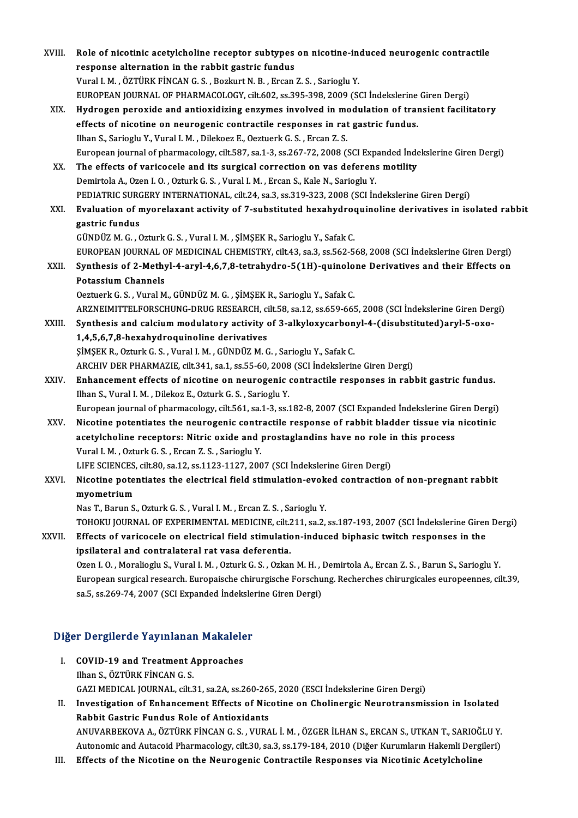| XVIII. | Role of nicotinic acetylcholine receptor subtypes on nicotine-induced neurogenic contractile                            |
|--------|-------------------------------------------------------------------------------------------------------------------------|
|        | response alternation in the rabbit gastric fundus                                                                       |
|        | Vural I. M., ÖZTÜRK FİNCAN G. S., Bozkurt N. B., Ercan Z. S., Sarioglu Y.                                               |
|        | EUROPEAN JOURNAL OF PHARMACOLOGY, cilt.602, ss.395-398, 2009 (SCI Indekslerine Giren Dergi)                             |
| XIX.   | Hydrogen peroxide and antioxidizing enzymes involved in modulation of transient facilitatory                            |
|        | effects of nicotine on neurogenic contractile responses in rat gastric fundus.                                          |
|        | Ilhan S., Sarioglu Y., Vural I. M., Dilekoez E., Oeztuerk G. S., Ercan Z. S.                                            |
|        | European journal of pharmacology, cilt.587, sa.1-3, ss.267-72, 2008 (SCI Expanded İndekslerine Giren Dergi)             |
| XX.    | The effects of varicocele and its surgical correction on vas deferens motility                                          |
|        | Demirtola A., Ozen I. O., Ozturk G. S., Vural I. M., Ercan S., Kale N., Sarioglu Y.                                     |
|        | PEDIATRIC SURGERY INTERNATIONAL, cilt.24, sa.3, ss.319-323, 2008 (SCI İndekslerine Giren Dergi)                         |
| XXI.   | Evaluation of myorelaxant activity of 7-substituted hexahydroquinoline derivatives in isolated rabbit<br>gastric fundus |
|        | GÜNDÜZ M. G., Ozturk G. S., Vural I. M., ŞİMŞEK R., Sarioglu Y., Safak C.                                               |
|        | EUROPEAN JOURNAL OF MEDICINAL CHEMISTRY, cilt.43, sa.3, ss.562-568, 2008 (SCI İndekslerine Giren Dergi)                 |
| XXII.  | Synthesis of 2-Methyl-4-aryl-4,6,7,8-tetrahydro-5(1H)-quinolone Derivatives and their Effects on                        |
|        | <b>Potassium Channels</b>                                                                                               |
|        | Oeztuerk G. S., Vural M., GÜNDÜZ M. G., ŞİMŞEK R., Sarioglu Y., Safak C.                                                |
|        | ARZNEIMITTELFORSCHUNG-DRUG RESEARCH, cilt.58, sa.12, ss.659-665, 2008 (SCI İndekslerine Giren Dergi)                    |
| XXIII. | Synthesis and calcium modulatory activity of 3-alkyloxycarbonyl-4-(disubstituted) aryl-5-oxo-                           |
|        | 1,4,5,6,7,8-hexahydroquinoline derivatives                                                                              |
|        | ŞİMŞEK R., Ozturk G. S., Vural I. M., GÜNDÜZ M. G., Sarioglu Y., Safak C.                                               |
|        | ARCHIV DER PHARMAZIE, cilt.341, sa.1, ss.55-60, 2008 (SCI Indekslerine Giren Dergi)                                     |
| XXIV.  | Enhancement effects of nicotine on neurogenic contractile responses in rabbit gastric fundus.                           |
|        | Ilhan S., Vural I. M., Dilekoz E., Ozturk G. S., Sarioglu Y.                                                            |
|        | European journal of pharmacology, cilt.561, sa.1-3, ss.182-8, 2007 (SCI Expanded Indekslerine Giren Dergi)              |
| XXV    | Nicotine potentiates the neurogenic contractile response of rabbit bladder tissue via nicotinic                         |
|        | acetylcholine receptors: Nitric oxide and prostaglandins have no role in this process                                   |
|        | Vural I. M., Ozturk G. S., Ercan Z. S., Sarioglu Y.                                                                     |
|        | LIFE SCIENCES, cilt.80, sa.12, ss.1123-1127, 2007 (SCI Indekslerine Giren Dergi)                                        |
| XXVI.  | Nicotine potentiates the electrical field stimulation-evoked contraction of non-pregnant rabbit                         |
|        | myometrium                                                                                                              |
|        | Nas T., Barun S., Ozturk G. S., Vural I. M., Ercan Z. S., Sarioglu Y.                                                   |
|        | TOHOKU JOURNAL OF EXPERIMENTAL MEDICINE, cilt.211, sa.2, ss.187-193, 2007 (SCI İndekslerine Giren Dergi)                |
| XXVII. | Effects of varicocele on electrical field stimulation-induced biphasic twitch responses in the                          |
|        | ipsilateral and contralateral rat vasa deferentia.                                                                      |
|        | Ozen I. O., Moralioglu S., Vural I. M., Ozturk G. S., Ozkan M. H., Demirtola A., Ercan Z. S., Barun S., Sarioglu Y.     |
|        | European surgical research. Europaische chirurgische Forschung. Recherches chirurgicales europeennes, cilt.39,          |
|        | sa.5, ss.269-74, 2007 (SCI Expanded İndekslerine Giren Dergi)                                                           |
|        |                                                                                                                         |

# sa.5, ss.269-74, 2007 (SCI Expanded Indeksie<br>Diğer Dergilerde Yayınlanan Makaleler

- Iger Dergilerde Yayınlanan Makalele<br>I. COVID-19 and Treatment Approaches<br>Ilben S. ÖZTÜRK ENCAN C. S. I. COVID-19 and Treatment Approaches<br>Ilhan S., ÖZTÜRK FİNCAN G. S. COVID-19 and Treatment Approaches<br>Ilhan S., ÖZTÜRK FİNCAN G. S.<br>GAZI MEDICAL JOURNAL, cilt.31, sa.2A, ss.260-265, 2020 (ESCI İndekslerine Giren Dergi)<br>Investigation of Enhancement Effects of Nisatine en Chelinengia Neuvetr
- II. Investigation of Enhancement Effects of Nicotine on Cholinergic Neurotransmission in Isolated<br>Rabbit Gastric Fundus Role of Antioxidants GAZI MEDICAL JOURNAL, cilt.31, sa.2A, ss.260-26!<br>Investigation of Enhancement Effects of Nic<br>Rabbit Gastric Fundus Role of Antioxidants<br>ANIWARREVOVA A ÖZTÜRK FİNCAN C S. VURA Investigation of Enhancement Effects of Nicotine on Cholinergic Neurotransmission in Isolated<br>Rabbit Gastric Fundus Role of Antioxidants<br>ANUVARBEKOVA A., ÖZTÜRK FİNCAN G. S. , VURAL İ. M. , ÖZGER İLHAN S., ERCAN S., UTKAN Rabbit Gastric Fundus Role of Antioxidants<br>ANUVARBEKOVA A., ÖZTÜRK FİNCAN G. S. , VURAL İ. M. , ÖZGER İLHAN S., ERCAN S., UTKAN T., SARIOĞLU Y.<br>Autonomic and Autacoid Pharmacology, cilt.30, sa.3, ss.179-184, 2010 (Diğer Ku

ANUVARBEKOVA A., ÖZTÜRK FİNCAN G. S. , VURAL İ. M. , ÖZGER İLHAN S., ERCAN S., UTKAN T., SARIOĞ<br>Autonomic and Autacoid Pharmacology, cilt.30, sa.3, ss.179-184, 2010 (Diğer Kurumların Hakemli Derg<br>III. Effects of the Nicoti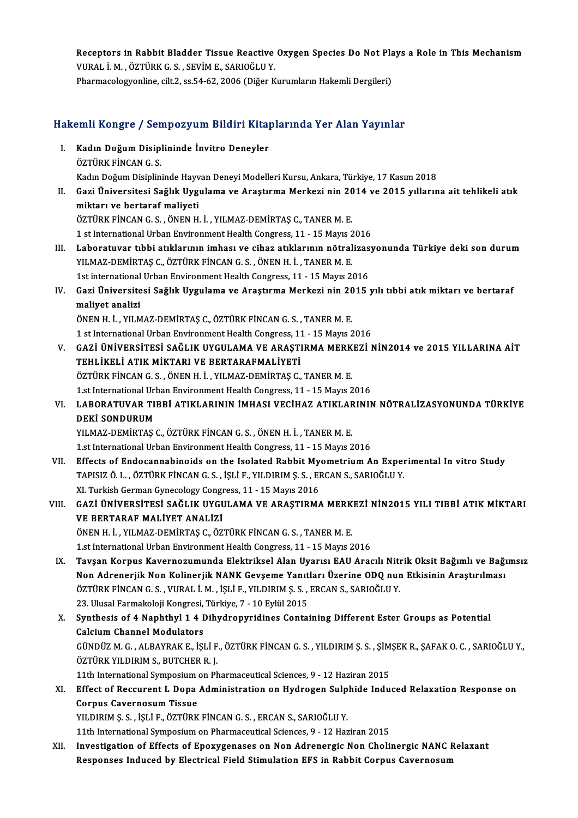Receptors in Rabbit Bladder Tissue Reactive Oxygen Species Do Not Plays a Role in This Mechanism<br>VURAL LM, ÖZTÜRK G. SEVİM E. SARIQĞLU.V Receptors in Rabbit Bladder Tissue Reactive<br>VURAL İ. M. , ÖZTÜRK G. S. , SEVİM E., SARIOĞLU Y.<br>Pharmagalagyanline silt 2, 28 54 62, 2006 (Diğar V. Receptors in Rabbit Bladder Tissue Reactive Oxygen Species Do Not Pla<br>VURAL İ. M. , ÖZTÜRK G. S. , SEVİM E., SARIOĞLU Y.<br>Pharmacologyonline, cilt.2, ss.54-62, 2006 (Diğer Kurumların Hakemli Dergileri)

# 1991) Pharmacologyonine, cit.2, ss.54-62, 2006 (Diger Kurumların Hakemli Dergileri)<br>Hakemli Kongre / Sempozyum Bildiri Kitaplarında Yer Alan Yayınlar

- akemli Kongre / Sempozyum Bildiri Kita<sub>l</sub><br>I. Kadın Doğum Disiplininde İnvitro Deneyler<br>ÖZTÜRK FİNCAN C.S I. Kadın Doğum Disiplininde İnvitro Deneyler<br>ÖZTÜRK FİNCAN G. S. Kadın Doğum Disiplininde Hayvan Deneyi Modelleri Kursu, Ankara, Türkiye, 17 Kasım 2018
- II. Gazi Üniversitesi Sağlık Uygulama ve Araştırma Merkezi nin 2014 ve 2015 yıllarına ait tehlikeli atık miktarı ve bertaraf maliyeti

ÖZTÜRK FİNCAN G. S., ÖNEN H. İ., YILMAZ-DEMİRTAŞ C., TANER M. E.

1 st International Urban Environment Health Congress, 11 - 15 Mayıs 2016

- III. Laboratuvar tıbbi atıklarının imhası ve cihaz atıklarının nötralizasyonunda Türkiye deki son durum 1 st International Urban Environment Health Congress, 11 - 15 Mayıs 2<br>Laboratuvar tıbbi atıklarının imhası ve cihaz atıklarının nötral<br>YILMAZ-DEMİRTAŞ C., ÖZTÜRK FİNCAN G. S. , ÖNEN H. İ. , TANER M. E.<br>1st international Ur Laboratuvar tıbbi atıklarının imhası ve cihaz atıklarının nötralizas<br>YILMAZ-DEMİRTAŞ C., ÖZTÜRK FİNCAN G.S. , ÖNEN H.İ. , TANER M. E.<br>1st international Urban Environment Health Congress, 11 - 15 Mayıs 2016<br>Ceri Üniyensites
- IV. YILMAZ-DEMİRTAŞ C., ÖZTÜRK FİNCAN G. S. , ÖNEN H. İ. , TANER M. E.<br>1st international Urban Environment Health Congress, 11 15 Mayıs 2016<br>IV. Gazi Üniversitesi Sağlık Uygulama ve Araştırma Merkezi nin 2015 yılı tı 1st international<br>Gazi Üniversite<br>maliyet analizi<br>ÖNEN H İ - VII M Gazi Üniversitesi Sağlık Uygulama ve Araştırma Merkezi nin 20<br>maliyet analizi<br>ÖNEN H. İ. , YILMAZ-DEMİRTAŞ C., ÖZTÜRK FİNCAN G. S. , TANER M. E.<br>1 et International Urban Environment Health Congress, 11 - 15 Mayıs 2

maliyet analizi<br>ÖNEN H. İ. , YILMAZ-DEMİRTAŞ C., ÖZTÜRK FİNCAN G. S. , TANER M. E.<br>1 st International Urban Environment Health Congress, 11 - 15 Mayıs 2016

ÖNEN H. İ. , YILMAZ-DEMİRTAŞ C., ÖZTÜRK FİNCAN G. S. , TANER M. E.<br>1 st International Urban Environment Health Congress, 11 - 15 Mayıs 2016<br>1 GAZİ ÜNİVERSİTESİ SAĞLIK UYGULAMA VE ARAŞTIRMA MERKEZİ NİN2014 ve 2015 YILLARINA 1 st International Urban Environment Health Congress, 1:<br>GAZİ ÜNİVERSİTESİ SAĞLIK UYGULAMA VE ARAŞTI<br>TEHLİKELİ ATIK MİKTARI VE BERTARAFMALİYETİ<br>ÖZTÜPK EİNCAN C.S., ÖNEN H.İ., VILMAZ DEMİRTAS C. GAZİ ÜNİVERSİTESİ SAĞLIK UYGULAMA VE ARAŞTIRMA MERK<br>TEHLİKELİ ATIK MİKTARI VE BERTARAFMALİYETİ<br>ÖZTÜRK FİNCAN G. S. , ÖNEN H. İ. , YILMAZ-DEMİRTAŞ C., TANER M. E.<br>1 et International Urban Environment Health Congress, 11 , 1 TEHLİKELİ ATIK MİKTARI VE BERTARAFMALİYETİ<br>ÖZTÜRK FİNCAN G. S. , ÖNEN H. İ. , YILMAZ-DEMİRTAŞ C., TANER M. E.<br>1.st International Urban Environment Health Congress, 11 - 15 Mayıs 2016<br>1.APOPATIIYAP TIPPİ ATIVI APININ İMHASI

## ÖZTÜRK FİNCAN G. S. , ÖNEN H. İ. , YILMAZ-DEMİRTAŞ C., TANER M. E.<br>1.st International Urban Environment Health Congress, 11 - 15 Mayıs 2016<br>VI. LABORATUVAR TIBBİ ATIKLARININ İMHASI VECİHAZ ATIKLARININ NÖTRALİZASYONUNDA 1.st International Url<br>LABORATUVAR TI<br>DEKİ SONDURUM<br>YU MAZ DEMİPTAS (

YILMAZ-DEMİRTAŞ C., ÖZTÜRK FİNCAN G. S., ÖNENH. İ., TANERM. E. 1.st International Urban Environment Health Congress, 11 - 15 Mayıs 2016

VI . Effects of Endocannabinoids on the Isolated RabbitMyometriumAn Experimental In vitro Study 1.st International Urban Environment Health Congress, 11 - 15 Mayıs 2016<br>Effects of Endocannabinoids on the Isolated Rabbit Myometrium An Exper<br>TAPISIZ Ö. L. , ÖZTÜRK FİNCAN G. S. , İŞLİ F., YILDIRIM Ş. S. , ERCAN S., SARI Effects of Endocannabinoids on the Isolated Rabbit My<br>TAPISIZ Ö. L. , ÖZTÜRK FİNCAN G. S. , İŞLİ F., YILDIRIM Ş. S. , EI<br>XI. Turkish German Gynecology Congress, 11 - 15 Mayıs 2016<br>GAZİ ÜNİVERSİTESİ SAĞLIK UVCULAMA VE ARAST TAPISIZ Ö. L. , ÖZTÜRK FİNCAN G. S. , İŞLİ F., YILDIRIM Ş. S. , ERCAN S., SARIOĞLU Y.<br>XI. Turkish German Gynecology Congress, 11 - 15 Mayıs 2016<br>VII. GAZİ ÜNİVERSİTESİ SAĞLIK UYGULAMA VE ARAŞTIRMA MERKEZİ NİN2015 YILI

### XI. Turkish German Gynecology Congr<br>GAZİ ÜNİVERSİTESİ SAĞLIK UYGU<br>VE BERTARAF MALİYET ANALİZİ<br>ÖNEN H İL YU MAZ DEMİRTAS GLÖZ GAZİ ÜNİVERSİTESİ SAĞLIK UYGULAMA VE ARAŞTIRMA MERK<br>VE BERTARAF MALİYET ANALİZİ<br>ÖNEN H. İ. , YILMAZ-DEMİRTAŞ C., ÖZTÜRK FİNCAN G. S. , TANER M. E.<br>1 et International Urban Environment Health Congress, 11 , 15 Meyre 2 VE BERTARAF MALIYET ANALIZI<br>ÖNEN H. İ. , YILMAZ-DEMIRTAŞ C., ÖZTÜRK FİNCAN G. S. , TANER M. E.<br>1.st International Urban Environment Health Congress, 11 - 15 Mayıs 2016

ÖNEN H. İ. , YILMAZ-DEMİRTAŞ C., ÖZTÜRK FİNCAN G. S. , TANER M. E.<br>1.st International Urban Environment Health Congress, 11 - 15 Mayıs 2016<br>IX. Tavşan Korpus Kavernozumunda Elektriksel Alan Uyarısı EAU Aracılı Nitrik O 1.st International Urban Environment Health Congress, 11 - 15 Mayıs 2016<br>Tavşan Korpus Kavernozumunda Elektriksel Alan Uyarısı EAU Aracılı Nitrik Oksit Bağımlı ve Bağı<br>Non Adrenerjik Non Kolinerjik NANK Gevşeme Yanıtları Ü Tavşan Korpus Kavernozumunda Elektriksel Alan Uyarısı EAU Aracılı Niti<br>Non Adrenerjik Non Kolinerjik NANK Gevşeme Yanıtları Üzerine ODQ nur<br>ÖZTÜRK FİNCAN G. S. , VURAL İ. M. , İŞLİ F., YILDIRIM Ş. S. , ERCAN S., SARIOĞLU Y Non Adrenerjik Non Kolinerjik NANK Gevşeme Yanıt<br>ÖZTÜRK FİNCAN G. S. , VURAL İ. M. , İŞLİ F., YILDIRIM Ş. S. ,<br>23. Ulusal Farmakoloji Kongresi, Türkiye, 7 - 10 Eylül 2015<br>Sunthesis of 4 Nanhthyl 1 4 Dihudronuridines Conta 23. Ulusal Farmakoloji Kongresi, Türkiye, 7 - 10 Eylül 2015

X. Synthesis of 4 Naphthyl 1 4 Dihydropyridines Containing Different Ester Groups as Potential Synthesis of 4 Naphthyl 1 4 Dihydropyridines Containing Different Ester Groups as Potential<br>Calcium Channel Modulators<br>GÜNDÜZ M. G. , ALBAYRAK E., İŞLİ F., ÖZTÜRK FİNCAN G. S. , YILDIRIM Ş. S. , ŞİMŞEK R., ŞAFAK O. C. , SA Calcium Channel Modulators<br>GÜNDÜZ M. G. , ALBAYRAK E., İŞLİ F<br>ÖZTÜRK YILDIRIM S., BUTCHER R. J.<br>11th International Sumnosium on Ph GÜNDÜZ M. G. , ALBAYRAK E., İŞLİ F., ÖZTÜRK FİNCAN G. S. , YILDIRIM Ş. S. , ŞİM<br>ÖZTÜRK YILDIRIM S., BUTCHER R. J.<br>11th International Symposium on Pharmaceutical Sciences, 9 - 12 Haziran 2015<br>F<sup>ef</sup>ect of Bossurent J. Done A ÖZTÜRK YILDIRIM S., BUTCHER R. J.<br>11th International Symposium on Pharmaceutical Sciences, 9 - 12 Haziran 2015<br>XI. Effect of Reccurent L Dopa Administration on Hydrogen Sulphide Induced Relaxation Response on<br>Corpus Cavern

## 11th International Symposium<br>Effect of Reccurent L Dopa<br>Corpus Cavernosum Tissue<br>VILDIPIM S.S. ISLIE ÖZTÜDE

YILDIRIM Ş. S., İŞLİ F., ÖZTÜRK FİNCAN G. S., ERCAN S., SARIOĞLU Y.

11th International Symposium on Pharmaceutical Sciences, 9 - 12 Haziran 2015

YILDIRIM Ş. S. , İŞLİ F., ÖZTÜRK FİNCAN G. S. , ERCAN S., SARIOĞLU Y.<br>11th International Symposium on Pharmaceutical Sciences, 9 - 12 Haziran 2015<br>XII. Investigation of Effects of Epoxygenases on Non Adrenergic Non Choline 11th International Symposium on Pharmaceutical Sciences, 9 - 12 Haziran 2015<br>Investigation of Effects of Epoxygenases on Non Adrenergic Non Cholinergic NANC I<br>Responses Induced by Electrical Field Stimulation EFS in Rabbit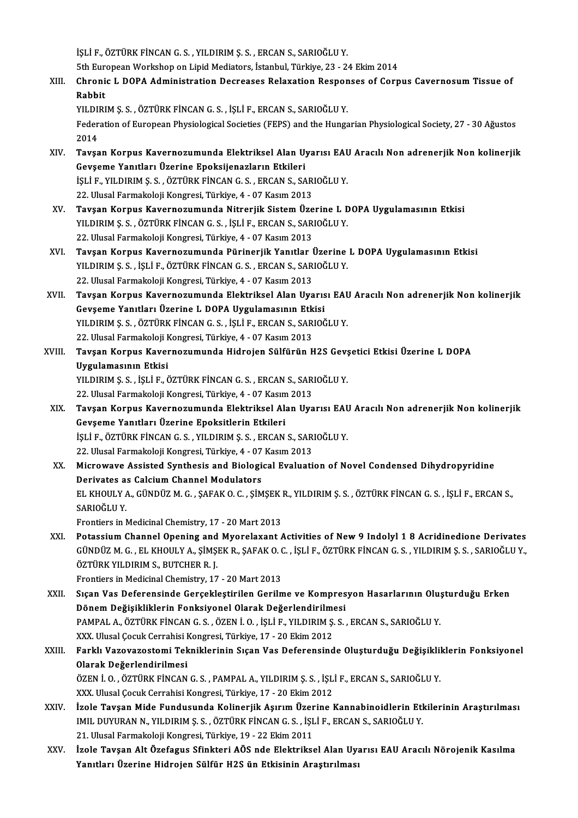İŞLİ F., ÖZTÜRK FİNCAN G. S., YILDIRIM Ş. S., ERCAN S., SARIOĞLU Y.

işLi F., ÖZTÜRK FİNCAN G. S. , YILDIRIM Ş. S. , ERCAN S., SARIOĞLU Y.<br>5th European Workshop on Lipid Mediators, İstanbul, Türkiye, 23 - 24 Ekim 2014<br>Chronis J. DOBA Administration Desresses Belevation Besponses of Corn

İŞLİ F., ÖZTÜRK FİNCAN G. S. , YILDIRIM Ş. S. , ERCAN S., SARIOĞLU Y.<br>5th European Workshop on Lipid Mediators, İstanbul, Türkiye, 23 - 24 Ekim 2014<br>XIII. Chronic L DOPA Administration Decreases Relaxation Responses of 5th Eur<br><mark>Chroni</mark><br>Rabbit<br><sup>VII DIPI</sub></sup> Chronic L DOPA Administration Decreases Relaxation Respon<br>Rabbit<br>YILDIRIM Ş. S. , ÖZTÜRK FİNCAN G. S. , İŞLİ F., ERCAN S., SARIOĞLU Y.<br>Federation of Euronean Physiological Societies (EEPS) and the Hungs

YILDIRIM Ş. S., ÖZTÜRK FİNCAN G. S., İŞLİ F., ERCAN S., SARIOĞLU Y.

Rabbit<br>YILDIRIM Ş. S. , ÖZTÜRK FİNCAN G. S. , İŞLİ F., ERCAN S., SARIOĞLU Y.<br>Federation of European Physiological Societies (FEPS) and the Hungarian Physiological Society, 27 - 30 Ağustos<br>2014 Federation of European Physiological Societies (FEPS) and the Hungarian Physiological Society, 27 - 30 Ağustos<br>2014<br>XIV. Tavşan Korpus Kavernozumunda Elektriksel Alan Uyarısı EAU Aracılı Non adrenerjik Non kolinerjik<br>C

- 2014<br>Tavşan Korpus Kavernozumunda Elektriksel Alan U<sub>.</sub><br>Gevşeme Yanıtları Üzerine Epoksijenazların Etkileri<br>İsti F. YU DIRIM S.S. ÖZTÜRK FİNCAN G.S. ERÇAN S.SA Tavşan Korpus Kavernozumunda Elektriksel Alan Uyarısı EAU<br>Gevşeme Yanıtları Üzerine Epoksijenazların Etkileri<br>İŞLİ F., YILDIRIM Ş. S. , ÖZTÜRK FİNCAN G. S. , ERCAN S., SARIOĞLU Y.<br>22 Hlucal Farmakalaji Kongresi Türkiye 4 , Gevşeme Yanıtları Üzerine Epoksijenazların Etkileri<br>İŞLİ F., YILDIRIM Ş. S. , ÖZTÜRK FİNCAN G. S. , ERCAN S., SARIOĞLU Y.<br>22. Ulusal Farmakoloji Kongresi, Türkiye, 4 - 07 Kasım 2013
- XV. Tavşan Korpus Kavernozumunda Nitrerjik SistemÜzerine L DOPA Uygulamasının Etkisi YILDIRIM Ş. S., ÖZTÜRK FİNCAN G. S., İŞLİ F., ERCAN S., SARIOĞLU Y. 22. Ulusal Farmakoloji Kongresi, Türkiye, 4 - 07 Kasım 2013 YILDIRIM Ş. S. , ÖZTÜRK FİNCAN G. S. , İŞLİ F., ERCAN S., SARIOĞLU Y.<br>22. Ulusal Farmakoloji Kongresi, Türkiye, 4 - 07 Kasım 2013<br>XVI. Tavşan Korpus Kavernozumunda Pürinerjik Yanıtlar Üzerine L DOPA Uygulamasının Etkis
- 22. Ulusal Farmakoloji Kongresi, Türkiye, 4 07 Kasım 2013<br>**Tavşan Korpus Kavernozumunda Pürinerjik Yanıtlar Üzerine**<br>YILDIRIM Ş. S. , İŞLİ F., ÖZTÜRK FİNCAN G. S. , ERCAN S., SARIOĞLU Y.<br>22. Ulusal Farmakalaji Kongresi, Tavşan Korpus Kavernozumunda Pürinerjik Yanıtlar 1<br>YILDIRIM Ş. S. , İŞLİ F., ÖZTÜRK FİNCAN G. S. , ERCAN S., SAR<br>22. Ulusal Farmakoloji Kongresi, Türkiye, 4 - 07 Kasım 2013<br>Tavçan Kannus Kavannozumunda Flaktriksal Alan Uya YILDIRIM Ş. S. , İŞLİ F., ÖZTÜRK FİNCAN G. S. , ERCAN S., SARIOĞLU Y.<br>22. Ulusal Farmakoloji Kongresi, Türkiye, 4 - 07 Kasım 2013<br>XVII. Tavşan Korpus Kavernozumunda Elektriksel Alan Uyarısı EAU Aracılı Non adrenerjik N
- 22. Ulusal Farmakoloji Kongresi, Türkiye, 4 07 Kasım 2013<br>Tavşan Korpus Kavernozumunda Elektriksel Alan Uyarıs<br>Gevşeme Yanıtları Üzerine L DOPA Uygulamasının Etkisi<br>YU DIPIM S.S., ÖZTÜPK EİNCAN C.S., İSLİ E. ERCAN S. SAR Tavşan Korpus Kavernozumunda Elektriksel Alan Uyarısı EAU<br>Gevşeme Yanıtları Üzerine L DOPA Uygulamasının Etkisi<br>YILDIRIM Ş. S. , ÖZTÜRK FİNCAN G. S. , İŞLİ F., ERCAN S., SARIOĞLU Y.<br>22 Hlugal Farmakalaji Kongresi Türkiye 4 Gevşeme Yanıtları Üzerine L DOPA Uygulamasının Etk<br>YILDIRIM Ş.S., ÖZTÜRK FİNCAN G.S., İŞLİ F., ERCAN S., SAR<br>22. Ulusal Farmakoloji Kongresi, Türkiye, 4 - 07 Kasım 2013<br>Tavçan Kornus Kavernosumunda Hidrojan Sülfürün H 22. Ulusal Farmakoloji Kongresi, Türkiye, 4 - 07 Kasım 2013
- XVIII. Tavşan Korpus Kavernozumunda Hidrojen Sülfürün H2S Gevşetici Etkisi Üzerine L DOPA<br>Uygulamasının Etkisi Tavşan Korpus Kavernozumunda Hidrojen Sülfürün H2S Gev;<br>Uygulamasının Etkisi<br>YILDIRIM Ş. S. , İŞLİ F., ÖZTÜRK FİNCAN G. S. , ERCAN S., SARIOĞLU Y.<br>22 Hlucal Farmakalaji Kongresi Türkiye 4 , 97 Kasım 2012 <mark>Uygulamasının Etkisi</mark><br>YILDIRIM Ş. S. , İŞLİ F., ÖZTÜRK FİNCAN G. S. , ERCAN S., SAR<br>22. Ulusal Farmakoloji Kongresi, Türkiye, 4 - 07 Kasım 2013<br>Taysan Konnus Kayernogumunda Flaktriksal Alan IIya
	- YILDIRIM Ş. S. , İŞLİ F., ÖZTÜRK FİNCAN G. S. , ERCAN S., SARIOĞLU Y.<br>22. Ulusal Farmakoloji Kongresi, Türkiye, 4 07 Kasım 2013<br>XIX. Tavşan Korpus Kavernozumunda Elektriksel Alan Uyarısı EAU Aracılı Non adrenerjik No 22. Ulusal Farmakoloji Kongresi, Türkiye, 4 - 07 Kasın<br>Tavşan Korpus Kavernozumunda Elektriksel Al:<br>Gevşeme Yanıtları Üzerine Epoksitlerin Etkileri<br>İsti F. ÖZTÜRK EİNGAN G.S., YU DIRIM S.S., ERGAN Tavşan Korpus Kavernozumunda Elektriksel Alan Uyarısı EAU<br>Gevşeme Yanıtları Üzerine Epoksitlerin Etkileri<br>İŞLİ F., ÖZTÜRK FİNCAN G. S. , YILDIRIM Ş. S. , ERCAN S., SARIOĞLU Y.<br>22 Hlucel Farmakalaji Kongresi Türkiye 4 , 97 6evşeme Yanıtları Üzerine Epoksitlerin Etkileri<br>İŞLİ F., ÖZTÜRK FİNCAN G. S. , YILDIRIM Ş. S. , ERCAN S., SAR<br>22. Ulusal Farmakoloji Kongresi, Türkiye, 4 - 07 Kasım 2013<br>Miarowaya Assisted Synthesis and Biologisal Evaluati İŞLİ F., ÖZTÜRK FİNCAN G. S. , YILDIRIM Ş. S. , ERCAN S., SARIOĞLU Y.<br>22. Ulusal Farmakoloji Kongresi, Türkiye, 4 - 07 Kasım 2013<br>XX. Microwave Assisted Synthesis and Biological Evaluation of Novel Condensed Dihydropyr
	- 22. Ulusal Farmakoloji Kongresi, Türkiye, 4 07<br>Microwave Assisted Synthesis and Biologi<br>Derivates as Calcium Channel Modulators<br>EL VHOULY A. CÜNDÜZ M.C., SAEAKO C. SİM Microwave Assisted Synthesis and Biological Evaluation of Novel Condensed Dihydropyridine<br>Derivates as Calcium Channel Modulators<br>EL KHOULY A., GÜNDÜZ M. G. , ŞAFAK O. C. , ŞİMŞEK R., YILDIRIM Ş. S. , ÖZTÜRK FİNCAN G. S. , Derivates a:<br>EL KHOULY /<br>SARIOĞLU Y.<br>Enantiara in l EL KHOULY A., GÜNDÜZ M. G. , ŞAFAK O. C. , ŞİMŞEK |<br>SARIOĞLU Y.<br>Frontiers in Medicinal Chemistry, 17 - 20 Mart 2013<br>Petessium Channel Opening and Myanelavant / SARIOĞLU Y.<br>Frontiers in Medicinal Chemistry, 17 - 20 Mart 2013<br>XXI. Potassium Channel Opening and Myorelaxant Activities of New 9 Indolyl 1 8 Acridinedione Derivates<br>CÜNDÜZ M.C. EL VUOULY A. SİMSEK P. SAFAK O.C. İSLİ E. Ö
- Frontiers in Medicinal Chemistry, 17 20 Mart 2013<br>Potassium Channel Opening and Myorelaxant Activities of New 9 Indolyl 1 8 Acridinedione Derivates<br>GÜNDÜZ M. G. , EL KHOULY A., ŞİMŞEK R., ŞAFAK O. C. , İŞLİ F., ÖZTÜRK Fİ Potassium Channel Opening and<br>GÜNDÜZ M. G. , EL KHOULY A., ŞİMŞ.<br>ÖZTÜRK YILDIRIM S., BUTCHER R. J.<br>Frantiers in Medicinal Chamistry, 17 GÜNDÜZ M. G. , EL KHOULY A., ŞİMŞEK R., ŞAFAK O. C. , İŞLİ F., ÖZTÜRK FİNCAN G. S. , YILDIRIM Ş. S. , SARIOĞLU Y.,<br>ÖZTÜRK YILDIRIM S., BUTCHER R. J.<br>Frontiers in Medicinal Chemistry, 17 - 20 Mart 2013 ÖZTÜRK YILDIRIM S., BUTCHER R. J.<br>Frontiers in Medicinal Chemistry, 17 - 20 Mart 2013<br>XXII. Sıçan Vas Deferensinde Gerçekleştirilen Gerilme ve Kompresyon Hasarlarının Oluşturduğu Erken<br>Dönem Değisikliklerin Fenksivenel

- Frontiers in Medicinal Chemistry, 17 20 Mart 2013<br>Sıçan Vas Deferensinde Gerçekleştirilen Gerilme ve Kompres<br>Dönem Değişikliklerin Fonksiyonel Olarak Değerlendirilmesi<br>PAMPAL A ÖZTÜRK FİNGAN G.S. ÖZEN İ.O. İSLİ E. VU DIR Sıçan Vas Deferensinde Gerçekleştirilen Gerilme ve Kompresyon Hasarlarının Olu;<br>Dönem Değişikliklerin Fonksiyonel Olarak Değerlendirilmesi<br>PAMPAL A., ÖZTÜRK FİNCAN G. S. , ÖZEN İ. O. , İŞLİ F., YILDIRIM Ş. S. , ERCAN S., S Dönem Değişikliklerin Fonksiyonel Olarak Değerlendirilmesi<br>PAMPAL A., ÖZTÜRK FİNCAN G. S. , ÖZEN İ. O. , İŞLİ F., YILDIRIM Ş. S. , ERCAN S., SARIOĞLU Y.<br>XXX. Ulusal Çocuk Cerrahisi Kongresi, Türkiye, 17 - 20 Ekim 2012 PAMPAL A., ÖZTÜRK FİNCAN G. S. , ÖZEN İ. O. , İŞLİ F., YILDIRIM Ş. S. , ERCAN S., SARIOĞLU Y.<br>XXX. Ulusal Çocuk Cerrahisi Kongresi, Türkiye, 17 - 20 Ekim 2012<br>XXIII. Farklı Vazovazostomi Tekniklerinin Sıçan Vas Deferen
- XXX. Ulusal Çocuk Cerrahisi I<br>Farklı Vazovazostomi Tek<br>Olarak Değerlendirilmesi<br>ÖZEN İ.O. ÖZTÜRK ENCAN Farklı Vazovazostomi Tekniklerinin Sıçan Vas Deferensinde Oluşturduğu Değişiklil<br>Olarak Değerlendirilmesi<br>ÖZEN İ. O. , ÖZTÜRK FİNCAN G. S. , PAMPAL A., YILDIRIM Ş. S. , İŞLİ F., ERCAN S., SARIOĞLU Y.<br>YYY Ulugel Cesuk Cerre Olarak Değerlendirilmesi<br>ÖZEN İ. O. , ÖZTÜRK FİNCAN G. S. , PAMPAL A., YILDIRIM Ş. S. , İŞLİ F., ERCAN S., SARIOĞLU Y.<br>XXX. Ulusal Çocuk Cerrahisi Kongresi, Türkiye, 17 - 20 Ekim 2012
- XXIV. İzole Tavşan Mide Fundusunda Kolinerjik Aşırım Üzerine Kannabinoidlerin Etkilerinin Araştırılması XXX. Ulusal Çocuk Cerrahisi Kongresi, Türkiye, 17 - 20 Ekim 2012<br>İzole Tavşan Mide Fundusunda Kolinerjik Aşırım Üzerine Kannabinoidlerin Etl<br>IMIL DUYURAN N., YILDIRIM Ş. S. , ÖZTÜRK FİNCAN G. S. , İŞLİ F., ERCAN S., SARIOĞ İzole Tavşan Mide Fundusunda Kolinerjik Aşırım Üzer<br>IMIL DUYURAN N., YILDIRIM Ş. S. , ÖZTÜRK FİNCAN G. S. , İŞL<br>21. Ulusal Farmakoloji Kongresi, Türkiye, 19 - 22 Ekim 2011<br>İrola Taysan Alt Özefagus Sfinktari AÖS nde Elektr IMIL DUYURAN N., YILDIRIM Ş. S. , ÖZTÜRK FİNCAN G. S. , İŞLİ F., ERCAN S., SARIOĞLU Y.<br>21. Ulusal Farmakoloji Kongresi, Türkiye, 19 - 22 Ekim 2011<br>XXV. İzole Tavşan Alt Özefagus Sfinkteri AÖS nde Elektriksel Alan Uyarı
- 21. Ulusal Farmakoloji Kongresi, Türkiye, 19 22 Ekim 2011<br>İzole Tavşan Alt Özefagus Sfinkteri AÖS nde Elektriksel Alan Uy:<br>Yanıtları Üzerine Hidrojen Sülfür H2S ün Etkisinin Araştırılması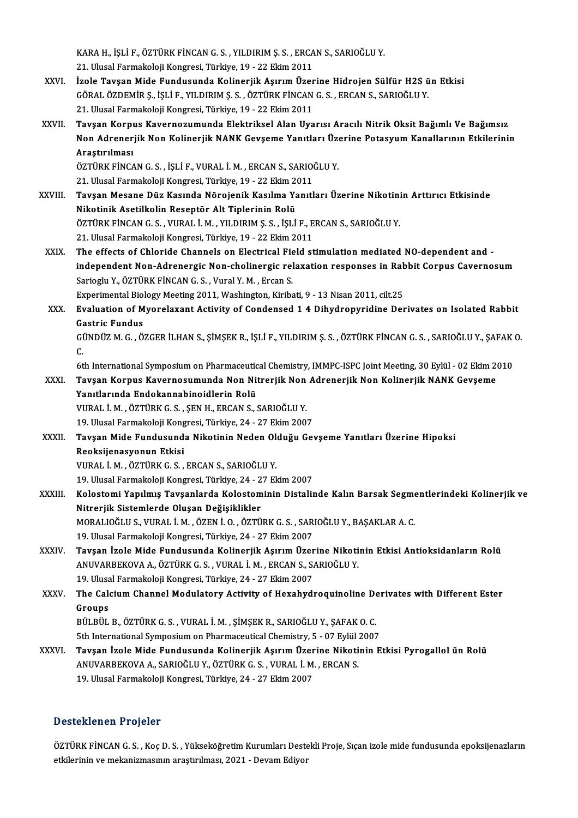KARA H., İŞLİ F., ÖZTÜRK FİNCAN G. S. , YILDIRIM Ş. S. , ERCAN S., SARIOĞLU Y.<br>21. Ulusal Farmakalaji Kangrasi, Türkiye, 19., 22. Ekim 2011. 21.<br>21. Ulusal Farmakoloji Kongresi, Türkiye, 19 - 22 Ekim 2011<br>İrala Taysan Mide Eundusunda Kalineriik Asuum Üzer

- KARA H., İŞLİ F., ÖZTÜRK FİNCAN G. S. , YILDIRIM Ş. S. , ERCAN S., SARIOĞLU Y.<br>21. Ulusal Farmakoloji Kongresi, Türkiye, 19 22 Ekim 2011<br>XXVI. İzole Tavşan Mide Fundusunda Kolinerjik Aşırım Üzerine Hidrojen Sülfür H2 21. Ulusal Farmakoloji Kongresi, Türkiye, 19 - 22 Ekim 2011<br>İzole Tavşan Mide Fundusunda Kolinerjik Aşırım Üzerine Hidrojen Sülfür H2S ü<br>GÖRAL ÖZDEMİR Ş., İŞLİ F., YILDIRIM Ş. S. , ÖZTÜRK FİNCAN G. S. , ERCAN S., SARIOĞLU İzole Tavşan Mide Fundusunda Kolinerjik Aşırım Üzer<br>GÖRAL ÖZDEMİR Ş., İŞLİ F., YILDIRIM Ş. S. , ÖZTÜRK FİNCAN<br>21. Ulusal Farmakoloji Kongresi, Türkiye, 19 - 22 Ekim 2011<br>Tavçan Kornus Kavernosumunda Elektriksel Alan Uya . GÖRAL ÖZDEMİR Ş., İŞLİ F., YILDIRIM Ş. S. , ÖZTÜRK FİNCAN G. S. , ERCAN S., SARIOĞLU Y.<br>21. Ulusal Farmakoloji Kongresi, Türkiye, 19 - 22 Ekim 2011<br>XXVII. Tavşan Korpus Kavernozumunda Elektriksel Alan Uyarısı Aracılı
- 21. Ulusal Farmakoloji Kongresi, Türkiye, 19 22 Ekim 2011<br>Tavşan Korpus Kavernozumunda Elektriksel Alan Uyarısı Aracılı Nitrik Oksit Bağımlı Ve Bağımsız<br>Non Adrenerjik Non Kolinerjik NANK Gevşeme Yanıtları Üzerine Potasy Tavşan Korpı<br>Non Adrener<br>Araştırılması<br>öz<del>rüp</del>v rinc*ı* Non Adrenerjik Non Kolinerjik NANK Gevşeme Yanıtları Üze<br>Araştırılması<br>ÖZTÜRK FİNCAN G. S. , İŞLİ F., VURAL İ. M. , ERCAN S., SARIOĞLU Y.<br>21. Ulucal Farmakalaji Kansresi, Türkiye, 19., 22 Fkim 2011. Araştırılması<br>ÖZTÜRK FİNCAN G. S. , İŞLİ F., VURAL İ. M. , ERCAN S., SARIOO<br>21. Ulusal Farmakoloji Kongresi, Türkiye, 19 - 22 Ekim 2011<br>Tavçan Masane Dür, Kasında Nörojanik Kasılma Yanıtl

ÖZTÜRK FİNCAN G. S. , İŞLİ F., VURAL İ. M. , ERCAN S., SARIOĞLU Y.<br>21. Ulusal Farmakoloji Kongresi, Türkiye, 19 - 22 Ekim 2011<br>XXVIII. Tavşan Mesane Düz Kasında Nörojenik Kasılma Yanıtları Üzerine Nikotinin Arttırıcı E 21. Ulusal Farmakoloji Kongresi, Türkiye, 19 - 22 Ekim 2<br>Tavşan Mesane Düz Kasında Nörojenik Kasılma Ya<br>Nikotinik Asetilkolin Reseptör Alt Tiplerinin Rolü<br>ÖZTÜPK FİNGAN G.S., VURAL İ.M., VU DIRIM S.S., İSLİ

ÖZTÜRK FİNCAN G. S., VURAL İ. M., YILDIRIM Ş. S., İŞLİ F., ERCAN S., SARIOĞLU Y.

21. Ulusal Farmakoloji Kongresi, Türkiye, 19 - 22 Ekim 2011

- ÖZTÜRK FİNCAN G. S. , VURAL İ. M. , YILDIRIM Ş. S. , İŞLİ F., ERCAN S., SARIOĞLU Y.<br>21. Ulusal Farmakoloji Kongresi, Türkiye, 19 22 Ekim 2011<br>XXIX. The effects of Chloride Channels on Electrical Field stimulation med 21. Ulusal Farmakoloji Kongresi, Türkiye, 19 - 22 Ekim 2011<br>The effects of Chloride Channels on Electrical Field stimulation mediated NO-dependent and -<br>independent Non-Adrenergic Non-cholinergic relaxation responses in Ra The effects of Chloride Channels on Electrical Fie<br>independent Non-Adrenergic Non-cholinergic rel<br>Sarioglu Y., ÖZTÜRK FİNCAN G. S. , Vural Y. M. , Ercan S.<br>Evnerimentel Bielegy Meeting 2011 Weebington Kiribe independent Non-Adrenergic Non-cholinergic relaxation responses in Rabbit Corpus Cavernosum<br>Sarioglu Y., ÖZTÜRK FİNCAN G. S. , Vural Y. M. , Ercan S.<br>Experimental Biology Meeting 2011, Washington, Kiribati, 9 - 13 Nisan 20 Sarioglu Y., ÖZTÜRK FİNCAN G. S. , Vural Y. M. , Ercan S.<br>Experimental Biology Meeting 2011, Washington, Kiribati, 9 - 13 Nisan 2011, cilt.25<br>XXX. Evaluation of Myorelaxant Activity of Condensed 1 4 Dihydropyridine Der
- Experimental Biol<br>Evaluation of M<br>Gastric Fundus<br>CÜNDÜZM G. Ö Evaluation of Myorelaxant Activity of Condensed 1 4 Dihydropyridine Derivates on Isolated Rabbit<br>Gästric Fundus<br>GÜNDÜZ M. G. , ÖZGER İLHAN S., ŞİMŞEK R., İŞLİ F., YILDIRIM Ş. S. , ÖZTÜRK FİNCAN G. S. , SARIOĞLU Y., ŞAFAK O Ga<br>Gi<br>C. GÜNDÜZ M. G. , ÖZGER İLHAN S., ŞİMŞEK R., İŞLİ F., YILDIRIM Ş. S. , ÖZTÜRK FİNCAN G. S. , SARIOĞLU Y., ŞAFAK (<br>C.<br>6th International Symposium on Pharmaceutical Chemistry, IMMPC-ISPC Joint Meeting, 30 Eylül - 02 Ekim 2010<br>T

C.<br>6th International Symposium on Pharmaceutical Chemistry, IMMPC-ISPC Joint Meeting, 30 Eylül - 02 Ekim 2<br>XXXI. Tavşan Korpus Kavernosumunda Non Nitrerjik Non Adrenerjik Non Kolinerjik NANK Gevşeme<br>Yanıtlarında Endeka 6th International Symposium on Pharmaceutical Chemistry, IMMPC-ISPC Joint Meeting, 30 Eylül - 02 Ekim 2010<br>Tavşan Korpus Kavernosumunda Non Nitrerjik Non Adrenerjik Non Kolinerjik NANK Gevşeme<br>Yanıtlarında Endokannabinoidl Tavşan Korpus Kavernosumunda Non Nitrerjik Non<br>Yanıtlarında Endokannabinoidlerin Rolü<br>VURAL İ.M., ÖZTÜRK G.S., ŞEN H., ERCAN S., SARIOĞLU Y.<br>19 Ulucal Farmakalaji Kangresi Türkiye 24, 27 Ekim 200.

19. VURAL İ. M. , ÖZTÜRK G. S. , ŞEN H., ERCAN S., SARIOĞLU Y.<br>19. Ulusal Farmakoloji Kongresi, Türkiye, 24 - 27 Ekim 2007

XXXII. Tavşan Mide Fundusunda Nikotinin Neden Olduğu Gevşeme Yanıtları Üzerine Hipoksi Reoksijenasyonun Etkisi VURAL İ.M. ,ÖZTÜRKG.S. ,ERCANS.,SARIOĞLUY.

19.UlusalFarmakolojiKongresi,Türkiye,24 -27Ekim2007

VURAL İ. M. , ÖZTÜRK G. S. , ERCAN S., SARIOĞLU Y.<br>19. Ulusal Farmakoloji Kongresi, Türkiye, 24 - 27 Ekim 2007<br>XXXIII. Kolostomi Yapılmış Tavşanlarda Kolostominin Distalinde Kalın Barsak Segmentlerindeki Kolinerjik ve<br> 19. Ulusal Farmakoloji Kongresi, Türkiye, 24 - 2<br>Kolostomi Yapılmış Tavşanlarda Kolostom<br>Nitrerjik Sistemlerde Oluşan Değişiklikler<br>MORALIQĞLUS, VURALİ M., ÖZENİ Q., ÖZTÜ Kolostomi Yapılmış Tavşanlarda Kolostominin Distalinde Kalın Barsak Segme<br>Nitrerjik Sistemlerde Oluşan Değişiklikler<br>MORALIOĞLU S., VURAL İ. M. , ÖZEN İ. O. , ÖZTÜRK G. S. , SARIOĞLU Y., BAŞAKLAR A. C.<br>10 Ulusal Farmalıala Nitrerjik Sistemlerde Oluşan Değişiklikler<br>MORALIOĞLU S., VURAL İ. M. , ÖZEN İ. O. , ÖZTÜRK G. S. , SARIOĞLU Y., BAŞAKLAR A. C.<br>19. Ulusal Farmakoloji Kongresi, Türkiye, 24 - 27 Ekim 2007

XXXIV. Tavşan İzoleMide Fundusunda Kolinerjik AşırımÜzerine Nikotinin Etkisi Antioksidanların Rolü ANUVARBEKOVAA.,ÖZTÜRKG.S. ,VURAL İ.M. ,ERCANS.,SARIOĞLUY. Tavşan İzole Mide Fundusunda Kolinerjik Aşırım Üzer<br>ANUVARBEKOVA A., ÖZTÜRK G. S. , VURAL İ. M. , ERCAN S., S.<br>19. Ulusal Farmakoloji Kongresi, Türkiye, 24 - 27 Ekim 2007<br>The Calsium Channel Medulatoru Astivity of Hovebudı

XXXV. The Calcium Channel Modulatory Activity of Hexahydroquinoline Derivates with Different Ester<br>Groups 19. Ulusa<br>The Cale<br>Groups<br>Püt Püt The Calcium Channel Modulatory Activity of Hexahydroquinoline De<br>Groups<br>BÜLBÜL B., ÖZTÜRK G. S. , VURAL İ. M. , ŞİMŞEK R., SARIOĞLU Y., ŞAFAK O. C.<br>Eth International Sumnesium on Pharmaseutisel Chamistur, E., 07 Evlül 2007 Groups<br>BÜLBÜL B., ÖZTÜRK G. S. , VURAL İ. M. , ŞİMŞEK R., SARIOĞLU Y., ŞAFAK O. C.<br>5th International Symposium on Pharmaceutical Chemistry, 5 - 07 Eylül 2007<br>Tavçan İzele Mide Eunducunda Kalinevilk Asınım Üzerine Niketinin

BÜLBÜL B., ÖZTÜRK G. S. , VURAL İ. M. , ŞİMŞEK R., SARIOĞLU Y., ŞAFAK O. C.<br>5th International Symposium on Pharmaceutical Chemistry, 5 - 07 Eylül 2007<br>XXXVI. Tavşan İzole Mide Fundusunda Kolinerjik Aşırım Üzerine Nikot 5th International Symposium on Pharmaceutical Chemistry, 5 - 07 Eylül 2007<br>Tavşan İzole Mide Fundusunda Kolinerjik Aşırım Üzerine Nikotinin I<br>ANUVARBEKOVA A., SARIOĞLU Y., ÖZTÜRK G. S., VURAL İ. M., ERCAN S.<br>19. Ulusal Far Tavşan İzole Mide Fundusunda Kolinerjik Aşırım Üzer<br>ANUVARBEKOVA A., SARIOĞLU Y., ÖZTÜRK G. S. , VURAL İ. M.<br>19. Ulusal Farmakoloji Kongresi, Türkiye, 24 - 27 Ekim 2007

### Desteklenen Projeler

Desteklenen Projeler<br>ÖZTÜRK FİNCAN G. S. , Koç D. S. , Yükseköğretim Kurumları Destekli Proje, Sıçan izole mide fundusunda epoksijenazların<br>Stijlerinin ve mekanizmasının erestirilmesi, 2021 - Devem Ediyer Bestekilerinin in syerer<br>ÖZTÜRK FİNCAN G. S. , Koç D. S. , Yükseköğretim Kurumları Deste<br>etkilerinin ve mekanizmasının araştırılması, 2021 - Devam Ediyor